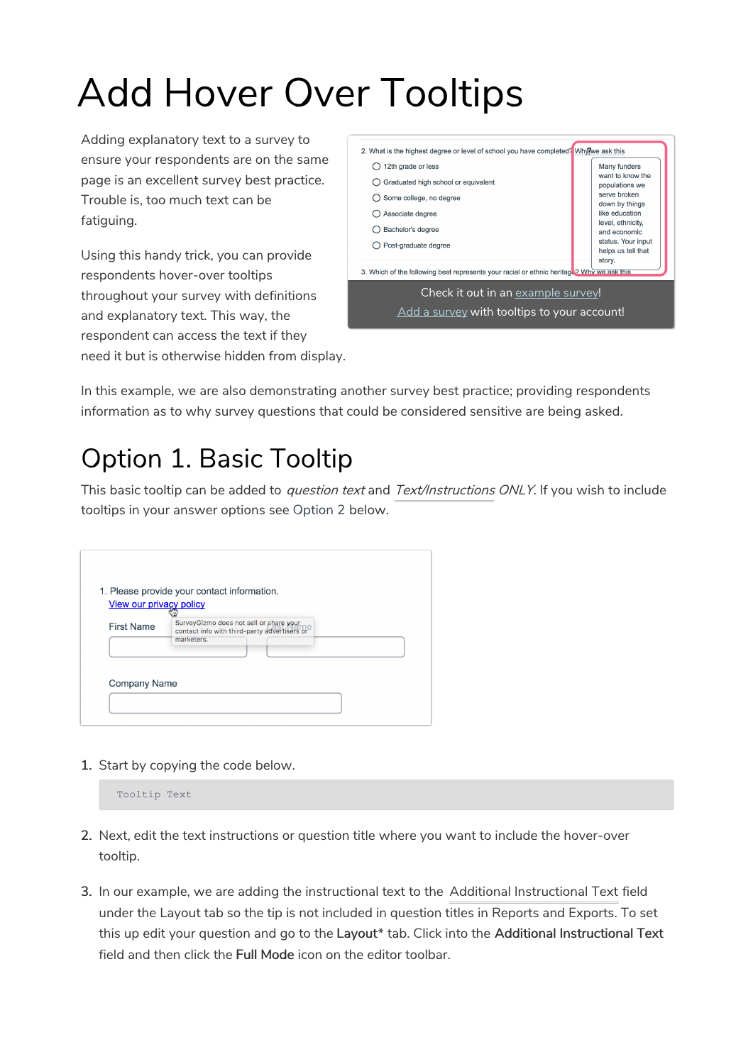# Add Hover Over Tooltips

Adding explanatory text to a survey to ensure your respondents are on the same page is an excellent survey best practice. Trouble is, too much text can be fatiguing.

Using this handy trick, you can provide respondents hover-over tooltips throughout your survey with definitions and explanatory text. This way, the respondent can access the text if they need it but is otherwise hidden from display.



In this example, we are also demonstrating another survey best practice; providing respondents information as to why survey questions that could be considered sensitive are being asked.

## Option 1. Basic Tooltip

This basic tooltip can be added to question text and Text/Instructions ONLY. If you wish to include tooltips in your answer options see Option 2 below.

| View our privacy policy |                                                                                         |  |
|-------------------------|-----------------------------------------------------------------------------------------|--|
| <b>First Name</b>       | SurveyGizmo does not sell or share your<br>contact info with third-party advertisers or |  |
|                         | marketers.                                                                              |  |
|                         |                                                                                         |  |
|                         |                                                                                         |  |

1. Start by copying the code below.

| Tooltip Text |  |
|--------------|--|
|--------------|--|

- 2. Next, edit the text instructions or question title where you want to include the hover-over tooltip.
- 3. In our example, we are adding the instructional text to the Additional Instructional Text field under the Layout tab so the tip is not included in question titles in Reports and Exports. To set this up edit your question and go to the Layout\* tab. Click into the Additional Instructional Text field and then click the Full Mode icon on the editor toolbar.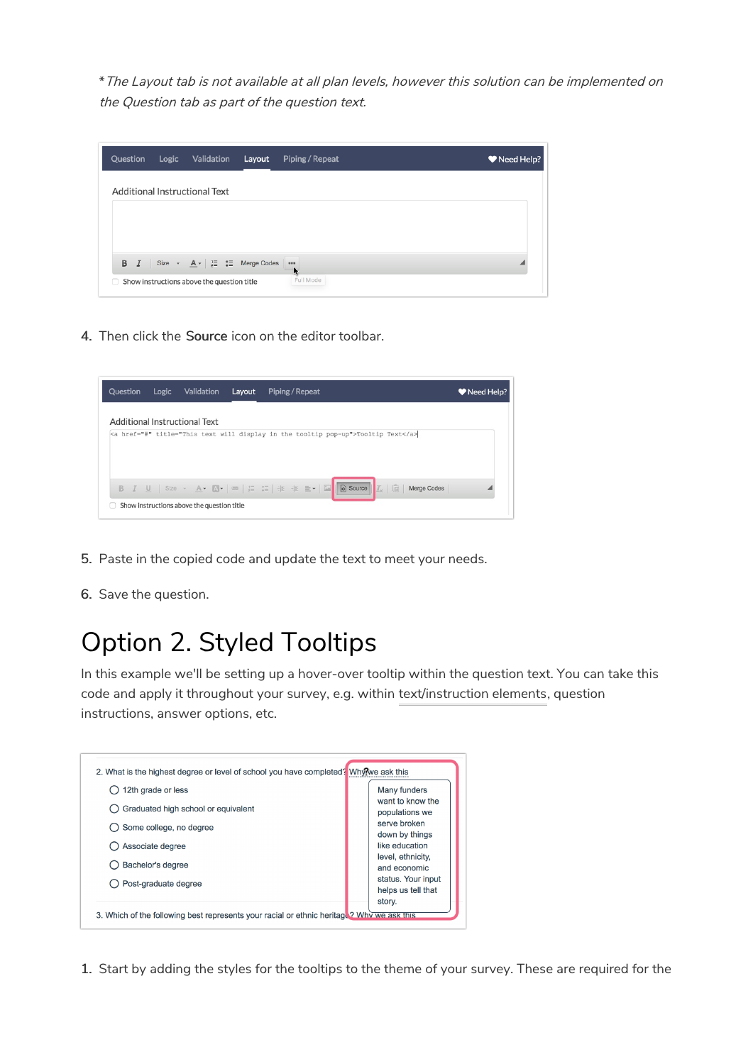\*The Layout tab is not available at all plan levels, however this solution can be implemented on the Question tab as part of the question text.

| Question | Logic | Validation                                                                                                                                                                                                                                                                                                                                                                                                                      | Layout | Piping / Repeat                  | Need Help? |
|----------|-------|---------------------------------------------------------------------------------------------------------------------------------------------------------------------------------------------------------------------------------------------------------------------------------------------------------------------------------------------------------------------------------------------------------------------------------|--------|----------------------------------|------------|
|          |       | Additional Instructional Text                                                                                                                                                                                                                                                                                                                                                                                                   |        |                                  |            |
|          |       |                                                                                                                                                                                                                                                                                                                                                                                                                                 |        |                                  |            |
|          |       |                                                                                                                                                                                                                                                                                                                                                                                                                                 |        |                                  |            |
| B I      |       | Size $\bullet$ $\underline{A} \bullet$ $\begin{array}{c} \n\frac{1}{2} \\ \frac{1}{2} \\ \frac{1}{2} \\ \frac{1}{2} \\ \frac{1}{2} \\ \frac{1}{2} \\ \frac{1}{2} \\ \frac{1}{2} \\ \frac{1}{2} \\ \frac{1}{2} \\ \frac{1}{2} \\ \frac{1}{2} \\ \frac{1}{2} \\ \frac{1}{2} \\ \frac{1}{2} \\ \frac{1}{2} \\ \frac{1}{2} \\ \frac{1}{2} \\ \frac{1}{2} \\ \frac{1}{2} \\ \frac{1}{2} \\ \frac{1}{2} \\ \frac{1}{2} \\ \frac{1}{2$ |        | $\cdots$<br>$\ddot{\phantom{a}}$ |            |
| o        |       | Show instructions above the question title                                                                                                                                                                                                                                                                                                                                                                                      |        | Full Mode                        |            |

4. Then click the Source icon on the editor toolbar.



- 5. Paste in the copied code and update the text to meet your needs.
- 6. Save the question.

### Option 2. Styled Tooltips

In this example we'll be setting up a hover-over tooltip within the question text. You can take this code and apply it throughout your survey, e.g. within text/instruction elements, question instructions, answer options, etc.



1. Start by adding the styles for the tooltips to the theme of your survey. These are required for the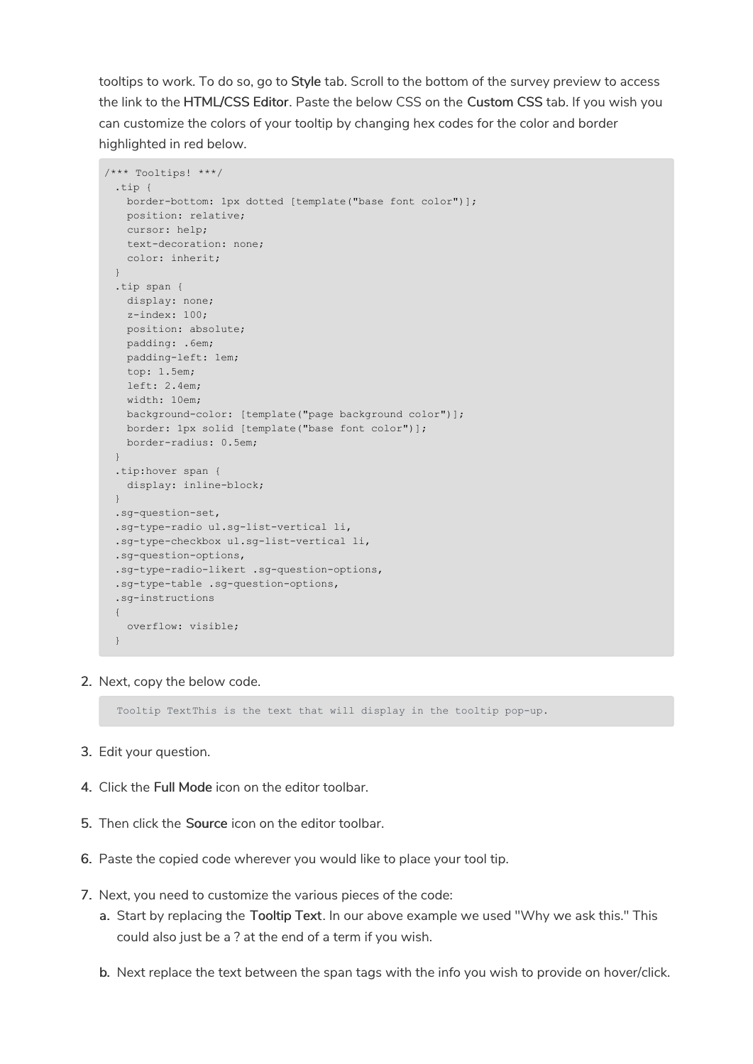tooltips to work. To do so, go to Style tab. Scroll to the bottom of the survey preview to access the link to the HTML/CSS Editor. Paste the below CSS on the Custom CSS tab. If you wish you can customize the colors of your tooltip by changing hex codes for the color and border highlighted in red below.

```
/*** Tooltips! ***/
 .tip {
   border-bottom: 1px dotted [template("base font color")];
   position: relative;
   cursor: help;
   text-decoration: none;
   color: inherit;
 }
 .tip span {
   display: none;
   z-index: 100;
   position: absolute;
   padding: .6em;
   padding-left: 1em;
   top: 1.5em;
   left: 2.4em;
   width: 10em;
   background-color: [template("page background color")];
   border: 1px solid [template("base font color")];
   border-radius: 0.5em;
 }
 .tip:hover span {
   display: inline-block;
 }
 .sg-question-set,
 .sg-type-radio ul.sg-list-vertical li,
 .sg-type-checkbox ul.sg-list-vertical li,
 .sg-question-options,
 .sg-type-radio-likert .sg-question-options,
 .sg-type-table .sg-question-options,
 .sg-instructions
 {
   overflow: visible;
  }
```
2. Next, copy the below code.

Tooltip TextThis is the text that will display in the tooltip pop-up.

- 3. Edit your question.
- 4. Click the Full Mode icon on the editor toolbar.
- 5. Then click the Source icon on the editor toolbar.
- 6. Paste the copied code wherever you would like to place your tool tip.
- 7. Next, you need to customize the various pieces of the code:
	- a. Start by replacing the Tooltip Text. In our above example we used "Why we ask this." This could also just be a ? at the end of a term if you wish.
	- b. Next replace the text between the span tags with the info you wish to provide on hover/click.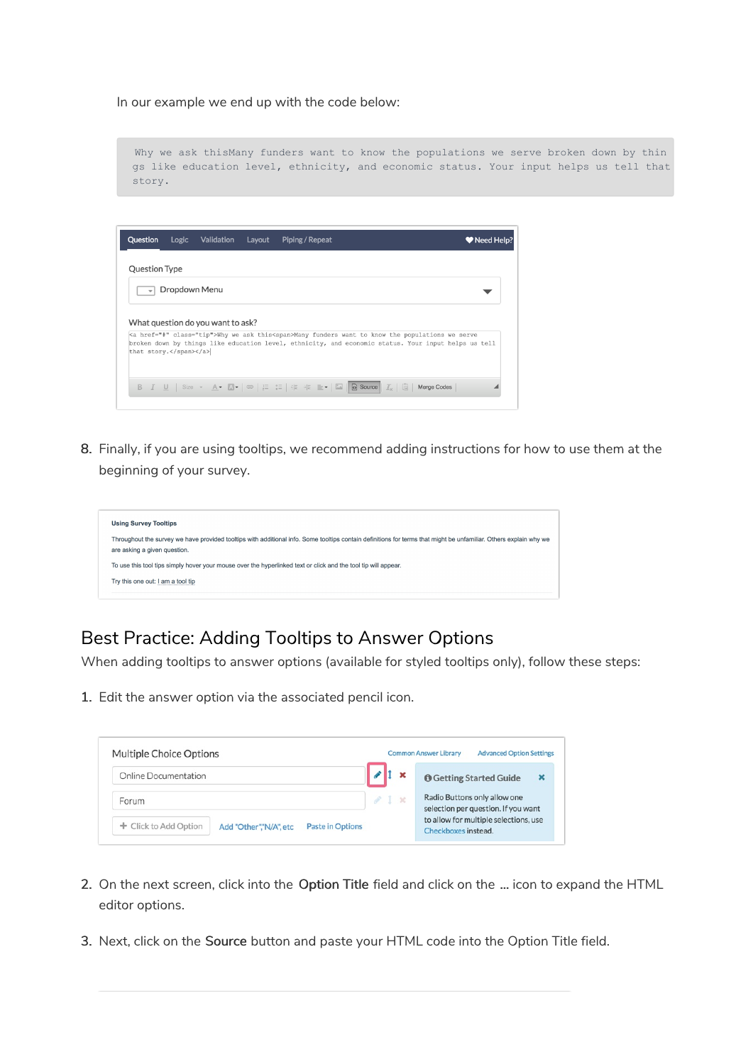In our example we end up with the code below:

Why we ask thisMany funders want to know the populations we serve broken down by thin gs like education level, ethnicity, and economic status. Your input helps us tell that story.

| <a class="tip" href="#">Why we ask this<span>Many funders want to know the populations we serve<br/>broken down by things like education level, ethnicity, and economic status. Your input helps us tell</span></a> |
|---------------------------------------------------------------------------------------------------------------------------------------------------------------------------------------------------------------------|
|                                                                                                                                                                                                                     |
|                                                                                                                                                                                                                     |
|                                                                                                                                                                                                                     |
|                                                                                                                                                                                                                     |

8. Finally, if you are using tooltips, we recommend adding instructions for how to use them at the beginning of your survey.



### Best Practice: Adding Tooltips to Answer Options

When adding tooltips to answer options (available for styled tooltips only), follow these steps:

1. Edit the answer option via the associated pencil icon.

| <b>Multiple Choice Options</b>                                             |     | <b>Common Answer Library</b>                                        | <b>Advanced Option Settings</b>       |  |
|----------------------------------------------------------------------------|-----|---------------------------------------------------------------------|---------------------------------------|--|
| Online Documentation                                                       |     |                                                                     | <b>O</b> Getting Started Guide        |  |
| Forum                                                                      | 41x | Radio Buttons only allow one<br>selection per question. If you want |                                       |  |
| + Click to Add Option<br><b>Paste in Options</b><br>Add "Other","N/A", etc |     | Checkboxes instead.                                                 | to allow for multiple selections, use |  |

- 2. On the next screen, click into the Option Title field and click on the ... icon to expand the HTML editor options.
- 3. Next, click on the Source button and paste your HTML code into the Option Title field.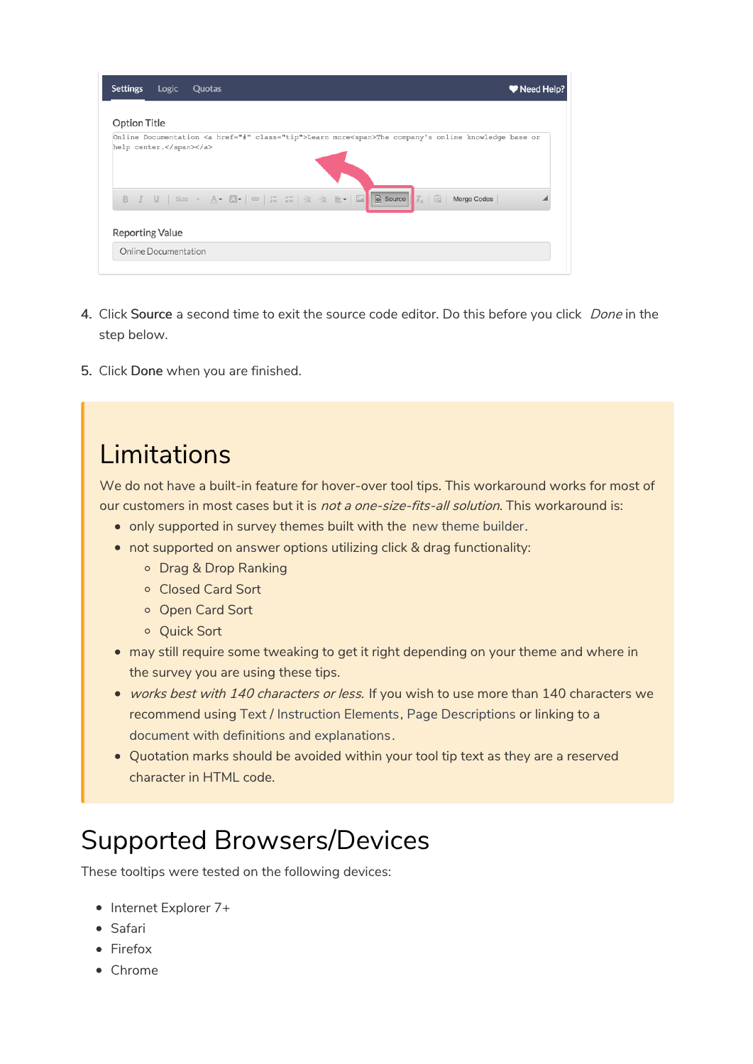| <b>Settings</b>        | Logic                | Quotas |  |                                                                                                                                                                                                                                                                                                                                                                                                                                                                        | W Need Help? |
|------------------------|----------------------|--------|--|------------------------------------------------------------------------------------------------------------------------------------------------------------------------------------------------------------------------------------------------------------------------------------------------------------------------------------------------------------------------------------------------------------------------------------------------------------------------|--------------|
| <b>Option Title</b>    |                      |        |  |                                                                                                                                                                                                                                                                                                                                                                                                                                                                        |              |
| help center.           |                      |        |  | Online Documentation <a class="tip" href="#">Learn more<span>The company's online knowledge base or</span></a>                                                                                                                                                                                                                                                                                                                                                         |              |
|                        |                      |        |  | <b>B</b> $I \perp \perp$ Size $\sim$ A $\cdot$ A $\cdot$ $\rightarrow$ $\cdot$ $\cdot$ $\Rightarrow$ $\cdot$ $\cdot$ $\cdot$ $\Rightarrow$ $\cdot$ $\Rightarrow$ $\cdot$ $\Rightarrow$ $\cdot$ $\Rightarrow$ $\cdot$ $\Rightarrow$ $\cdot$ $\Rightarrow$ $\cdot$ $\Rightarrow$ $\cdot$ $\Rightarrow$ $\cdot$ $\Rightarrow$ $\cdot$ $\Rightarrow$ $\cdot$ $\Rightarrow$ $\cdot$ $\Rightarrow$ $\cdot$ $\Rightarrow$ $\cdot$ $\Rightarrow$ $\cdot$ $\Rightarrow$ $\cdot$ |              |
| <b>Reporting Value</b> |                      |        |  |                                                                                                                                                                                                                                                                                                                                                                                                                                                                        |              |
|                        | Online Documentation |        |  |                                                                                                                                                                                                                                                                                                                                                                                                                                                                        |              |

- 4. Click Source a second time to exit the source code editor. Do this before you click *Done* in the step below.
- 5. Click Done when you are finished.

### Limitations

We do not have a built-in feature for hover-over tool tips. This workaround works for most of our customers in most cases but it is not a one-size-fits-all solution. This workaround is:

- only supported in survey themes built with the new theme builder.
- not supported on answer options utilizing click & drag functionality:
	- o Drag & Drop Ranking
	- Closed Card Sort
	- o Open Card Sort
	- o Quick Sort
- may still require some tweaking to get it right depending on your theme and where in the survey you are using these tips.
- works best with 140 characters or less. If you wish to use more than 140 characters we recommend using Text / Instruction Elements, Page Descriptions or linking to a document with definitions and explanations.
- Quotation marks should be avoided within your tool tip text as they are a reserved character in HTML code.

# Supported Browsers/Devices

These tooltips were tested on the following devices:

- Internet Explorer 7+
- Safari
- Firefox
- Chrome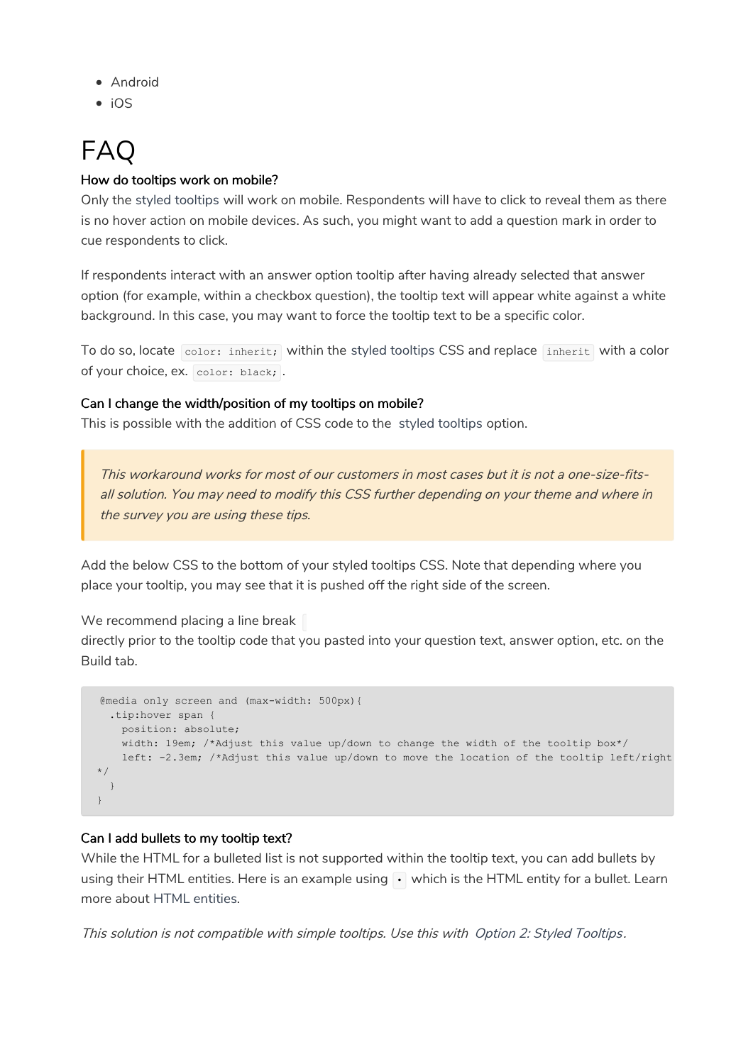- Android
- $\bullet$  iOS

# FAQ

### How do tooltips work on mobile?

Only the styled tooltips will work on mobile. Respondents will have to click to reveal them as there is no hover action on mobile devices. As such, you might want to add a question mark in order to cue respondents to click.

If respondents interact with an answer option tooltip after having already selected that answer option (for example, within a checkbox question), the tooltip text will appear white against a white background. In this case, you may want to force the tooltip text to be a specific color.

To do so, locate color: inherit; within the styled tooltips CSS and replace inherit with a color of your choice, ex. color: black; .

#### Can I change the width/position of my tooltips on mobile?

This is possible with the addition of CSS code to the styled tooltips option.

This workaround works for most of our customers in most cases but it is not a one-size-fitsall solution. You may need to modify this CSS further depending on your theme and where in the survey you are using these tips.

Add the below CSS to the bottom of your styled tooltips CSS. Note that depending where you place your tooltip, you may see that it is pushed off the right side of the screen.

We recommend placing a line break

directly prior to the tooltip code that you pasted into your question text, answer option, etc. on the Build tab.

```
@media only screen and (max-width: 500px){
 .tip:hover span {
   position: absolute;
   width: 19em; /*Adjust this value up/down to change the width of the tooltip box*/
   left: -2.3em; /*Adjust this value up/down to move the location of the tooltip left/right
*/
 }
}
```
### Can I add bullets to my tooltip text?

While the HTML for a bulleted list is not supported within the tooltip text, you can add bullets by using their HTML entities. Here is an example using  $\cdot$  which is the HTML entity for a bullet. Learn more about HTML entities.

This solution is not compatible with simple tooltips. Use this with Option 2: Styled Tooltips.